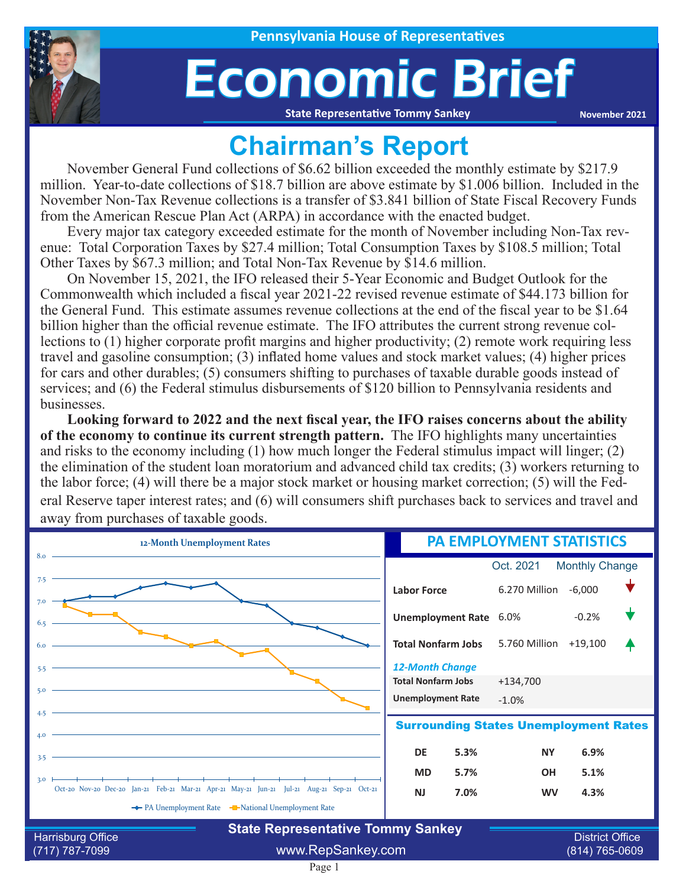

# Economic Brief

**State Representative Tommy Sankey**

**November 2021**

### **Chairman's Report**

November General Fund collections of \$6.62 billion exceeded the monthly estimate by \$217.9 million. Year-to-date collections of \$18.7 billion are above estimate by \$1.006 billion. Included in the November Non-Tax Revenue collections is a transfer of \$3.841 billion of State Fiscal Recovery Funds from the American Rescue Plan Act (ARPA) in accordance with the enacted budget.

Every major tax category exceeded estimate for the month of November including Non-Tax revenue: Total Corporation Taxes by \$27.4 million; Total Consumption Taxes by \$108.5 million; Total Other Taxes by \$67.3 million; and Total Non-Tax Revenue by \$14.6 million.

On November 15, 2021, the IFO released their 5-Year Economic and Budget Outlook for the Commonwealth which included a fiscal year 2021-22 revised revenue estimate of \$44.173 billion for the General Fund. This estimate assumes revenue collections at the end of the fiscal year to be \$1.64 billion higher than the official revenue estimate. The IFO attributes the current strong revenue collections to (1) higher corporate profit margins and higher productivity; (2) remote work requiring less travel and gasoline consumption; (3) inflated home values and stock market values; (4) higher prices for cars and other durables; (5) consumers shifting to purchases of taxable durable goods instead of services; and (6) the Federal stimulus disbursements of \$120 billion to Pennsylvania residents and businesses.

**Looking forward to 2022 and the next fiscal year, the IFO raises concerns about the ability of the economy to continue its current strength pattern.** The IFO highlights many uncertainties and risks to the economy including (1) how much longer the Federal stimulus impact will linger; (2) the elimination of the student loan moratorium and advanced child tax credits; (3) workers returning to the labor force; (4) will there be a major stock market or housing market correction; (5) will the Federal Reserve taper interest rates; and (6) will consumers shift purchases back to services and travel and away from purchases of taxable goods.